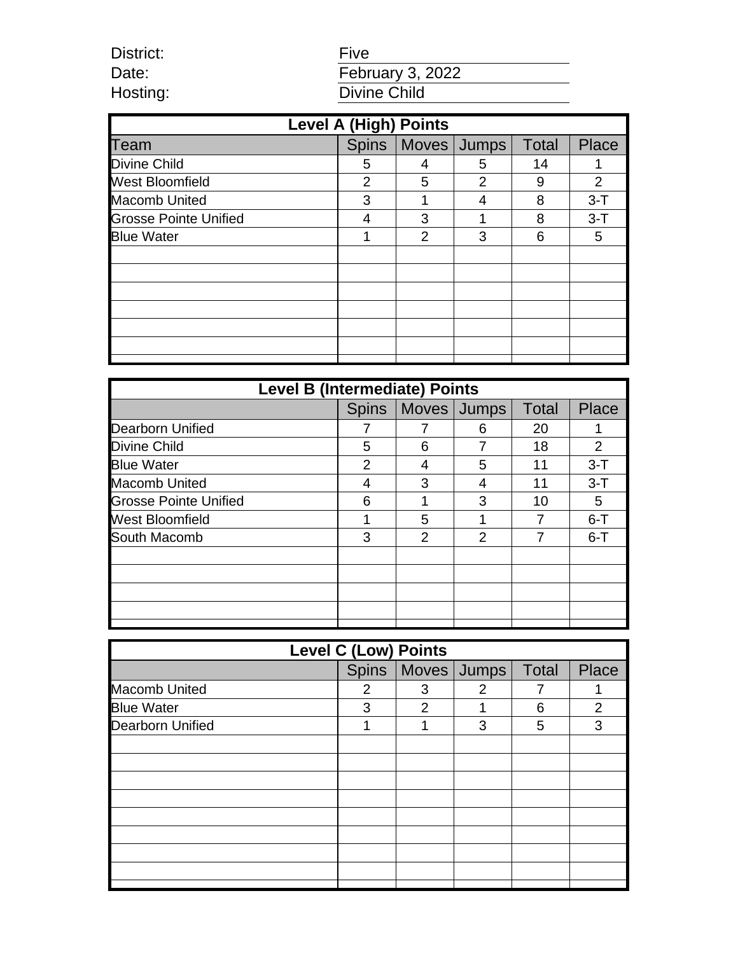| District: |  |
|-----------|--|
| Date:     |  |
| Hosting:  |  |

# Five Date: **February 3, 2022** Hosting: Divine Child

| <b>Level A (High) Points</b> |   |   |                       |              |                |
|------------------------------|---|---|-----------------------|--------------|----------------|
| Team                         |   |   | Spins   Moves   Jumps | <b>Total</b> | Place          |
| Divine Child                 | 5 | 4 | 5                     | 14           | 1              |
| <b>West Bloomfield</b>       | 2 | 5 | 2                     | 9            | $\overline{2}$ |
| <b>Macomb United</b>         | 3 | 1 | 4                     | 8            | $3 - T$        |
| <b>Grosse Pointe Unified</b> | 4 | 3 |                       | 8            | $3-T$          |
| <b>Blue Water</b>            | 1 | 2 | 3                     | 6            | 5              |
|                              |   |   |                       |              |                |
|                              |   |   |                       |              |                |
|                              |   |   |                       |              |                |
|                              |   |   |                       |              |                |
|                              |   |   |                       |              |                |
|                              |   |   |                       |              |                |
|                              |   |   |                       |              |                |

| <b>Level B (Intermediate) Points</b> |              |   |             |              |                |
|--------------------------------------|--------------|---|-------------|--------------|----------------|
|                                      | <b>Spins</b> |   | Moves Jumps | <b>Total</b> | <b>Place</b>   |
| Dearborn Unified                     |              |   | 6           | 20           |                |
| Divine Child                         | 5            | 6 |             | 18           | $\overline{2}$ |
| <b>Blue Water</b>                    | 2            |   | 5           | 11           | $3 - T$        |
| <b>Macomb United</b>                 | 4            | 3 | 4           | 11           | $3 - T$        |
| Grosse Pointe Unified                | 6            | 1 | 3           | 10           | 5              |
| <b>West Bloomfield</b>               |              | 5 |             |              | $6 - T$        |
| South Macomb                         | 3            | 2 | 2           |              | $6 - T$        |
|                                      |              |   |             |              |                |
|                                      |              |   |             |              |                |
|                                      |              |   |             |              |                |
|                                      |              |   |             |              |                |
|                                      |              |   |             |              |                |

| <b>Level C (Low) Points</b> |   |                |                       |              |                |
|-----------------------------|---|----------------|-----------------------|--------------|----------------|
|                             |   |                | Spins   Moves   Jumps | <b>Total</b> | Place          |
| <b>Macomb United</b>        | 2 | 3              | 2                     |              | 1              |
| <b>Blue Water</b>           | 3 | $\overline{2}$ |                       | 6            | $\overline{2}$ |
| <b>Dearborn Unified</b>     | 1 | 1              | 3                     | 5            | 3              |
|                             |   |                |                       |              |                |
|                             |   |                |                       |              |                |
|                             |   |                |                       |              |                |
|                             |   |                |                       |              |                |
|                             |   |                |                       |              |                |
|                             |   |                |                       |              |                |
|                             |   |                |                       |              |                |
|                             |   |                |                       |              |                |
|                             |   |                |                       |              |                |